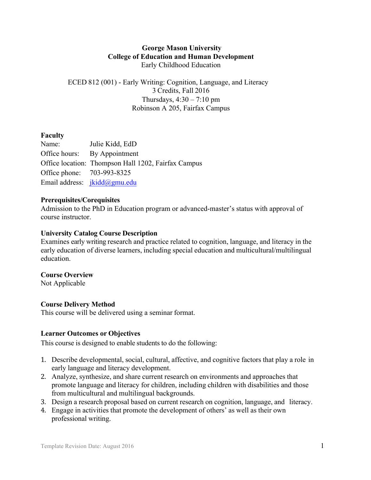### **George Mason University College of Education and Human Development** Early Childhood Education

ECED 812 (001) - Early Writing: Cognition, Language, and Literacy 3 Credits, Fall 2016 Thursdays,  $4:30 - 7:10$  pm Robinson A 205, Fairfax Campus

### **Faculty**

Name: Julie Kidd, EdD Office hours: By Appointment Office location: Thompson Hall 1202, Fairfax Campus Office phone: 703-993-8325 Email address: jkidd@gmu.edu

#### **Prerequisites/Corequisites**

Admission to the PhD in Education program or advanced-master's status with approval of course instructor.

#### **University Catalog Course Description**

Examines early writing research and practice related to cognition, language, and literacy in the early education of diverse learners, including special education and multicultural/multilingual education.

#### **Course Overview**

Not Applicable

### **Course Delivery Method**

This course will be delivered using a seminar format.

### **Learner Outcomes or Objectives**

This course is designed to enable students to do the following:

- 1. Describe developmental, social, cultural, affective, and cognitive factors that play a role in early language and literacy development.
- 2. Analyze, synthesize, and share current research on environments and approaches that promote language and literacy for children, including children with disabilities and those from multicultural and multilingual backgrounds.
- 3. Design a research proposal based on current research on cognition, language, and literacy.
- 4. Engage in activities that promote the development of others' as well as their own professional writing.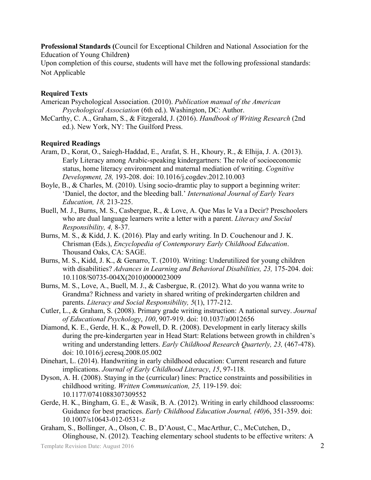**Professional Standards (**Council for Exceptional Children and National Association for the Education of Young Children**)**

Upon completion of this course, students will have met the following professional standards: Not Applicable

### **Required Texts**

- American Psychological Association. (2010). *Publication manual of the American Psychological Association* (6th ed.). Washington, DC: Author.
- McCarthy, C. A., Graham, S., & Fitzgerald, J. (2016). *Handbook of Writing Research* (2nd ed.). New York, NY: The Guilford Press.

#### **Required Readings**

- Aram, D., Korat, O., Saiegh-Haddad, E., Arafat, S. H., Khoury, R., & Elhija, J. A. (2013). Early Literacy among Arabic-speaking kindergartners: The role of socioeconomic status, home literacy environment and maternal mediation of writing. *Cognitive Development, 28,* 193-208. doi: 10.1016/j.cogdev.2012.10.003
- Boyle, B., & Charles, M. (2010). Using socio-dramtic play to support a beginning writer: 'Daniel, the doctor, and the bleeding ball.' *International Journal of Early Years Education, 18,* 213-225.
- Buell, M. J., Burns, M. S., Casbergue, R., & Love, A. Que Mas le Va a Decir? Preschoolers who are dual language learners write a letter with a parent. *Literacy and Social Responsibility, 4,* 8-37.
- Burns, M. S., & Kidd, J. K. (2016). Play and early writing. In D. Couchenour and J. K. Chrisman (Eds.), *Encyclopedia of Contemporary Early Childhood Education*. Thousand Oaks, CA: SAGE.
- Burns, M. S., Kidd, J. K., & Genarro, T. (2010). Writing: Underutilized for young children with disabilities? *Advances in Learning and Behavioral Disabilities, 23,* 175-204. doi: 10.1108/S0735-004X(2010)0000023009
- Burns, M. S., Love, A., Buell, M. J., & Casbergue, R. (2012). What do you wanna write to Grandma? Richness and variety in shared writing of prekindergarten children and parents. *Literacy and Social Responsibility, 5*(1), 177-212.
- Cutler, L., & Graham, S. (2008). Primary grade writing instruction: A national survey. *Journal of Educational Psychology*, *100*, 907-919. doi: 10.1037/a0012656
- Diamond, K. E., Gerde, H. K., & Powell, D. R. (2008). Development in early literacy skills during the pre-kindergarten year in Head Start: Relations between growth in children's writing and understanding letters. *Early Childhood Research Quarterly, 23,* (467-478). doi: 10.1016/j.ecresq.2008.05.002
- Dinehart, L. (2014). Handwriting in early childhood education: Current research and future implications. *Journal of Early Childhood Literacy*, *15*, 97-118.
- Dyson, A. H. (2008). Staying in the (curricular) lines: Practice constraints and possibilities in childhood writing. *Written Communication, 25,* 119-159. doi: 10.1177/0741088307309552
- Gerde, H. K., Bingham, G. E., & Wasik, B. A. (2012). Writing in early childhood classrooms: Guidance for best practices. *Early Childhood Education Journal, (40)*6, 351-359. doi: 10.1007/s10643-012-0531-z
- Graham, S., Bollinger, A., Olson, C. B., D'Aoust, C., MacArthur, C., McCutchen, D., Olinghouse, N. (2012). Teaching elementary school students to be effective writers: A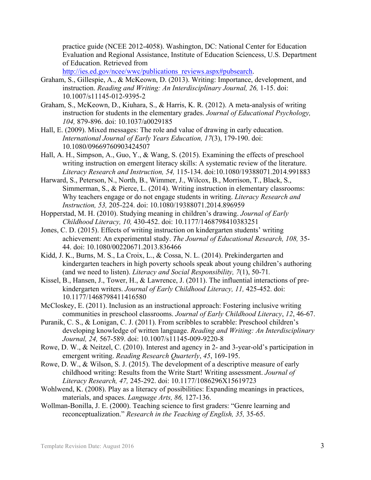practice guide (NCEE 2012-4058). Washington, DC: National Center for Education Evaluation and Regional Assistance, Institute of Education Sciencess, U.S. Department of Education. Retrieved from

http://ies.ed.gov/ncee/wwc/publications\_reviews.aspx#pubsearch.

- Graham, S., Gillespie, A., & McKeown, D. (2013). Writing: Importance, development, and instruction. *Reading and Writing: An Interdisciplinary Journal, 26, 1-15. doi:* 10.1007/s11145-012-9395-2
- Graham, S., McKeown, D., Kiuhara, S., & Harris, K. R. (2012). A meta-analysis of writing instruction for students in the elementary grades. *Journal of Educational Psychology, 104,* 879-896. doi: 10.1037/a0029185
- Hall, E. (2009). Mixed messages: The role and value of drawing in early education. *International Journal of Early Years Education, 17*(3), 179-190. doi: 10.1080/09669760903424507
- Hall, A. H., Simpson, A., Guo, Y., & Wang, S. (2015). Examining the effects of preschool writing instruction on emergent literacy skills: A systematic review of the literature. *Literacy Research and Instruction, 54,* 115-134. doi:10.1080/19388071.2014.991883
- Harward, S., Peterson, N., North, B., Wimmer, J., Wilcox, B., Morrison, T., Black, S., Simmerman, S., & Pierce, L. (2014). Writing instruction in elementary classrooms: Why teachers engage or do not engage students in writing. *Literacy Research and Instruction, 53,* 205-224. doi: 10.1080/19388071.2014.896959
- Hopperstad, M. H. (2010). Studying meaning in children's drawing. *Journal of Early Childhood Literacy, 10,* 430-452. doi: 10.1177/1468798410383251
- Jones, C. D. (2015). Effects of writing instruction on kindergarten students' writing achievement: An experimental study. *The Journal of Educational Research, 108,* 35- 44. doi: 10.1080/00220671.2013.836466
- Kidd, J. K., Burns, M. S., La Croix, L., & Cossa, N. L. (2014). Prekindergarten and kindergarten teachers in high poverty schools speak about young children's authoring (and we need to listen). *Literacy and Social Responsibility, 7*(1), 50-71*.*
- Kissel, B., Hansen, J., Tower, H., & Lawrence, J. (2011). The influential interactions of prekindergarten writers. *Journal of Early Childhood Literacy, 11,* 425-452. doi: 10.1177/1468798411416580
- McCloskey, E. (2011). Inclusion as an instructional approach: Fostering inclusive writing communities in preschool classrooms. *Journal of Early Childhood Literacy*, *12*, 46-67.
- Puranik, C. S., & Lonigan, C. J. (2011). From scribbles to scrabble: Preschool children's developing knowledge of written language. *Reading and Writing: An Interdisciplinary Journal, 24,* 567-589. doi: 10.1007/s11145-009-9220-8
- Rowe, D. W., & Neitzel, C. (2010). Interest and agency in 2- and 3-year-old's participation in emergent writing. *Reading Research Quarterly*, *45*, 169-195.
- Rowe, D. W., & Wilson, S. J. (2015). The development of a descriptive measure of early childhood writing: Results from the Write Start! Writing assessment. *Journal of Literacy Research, 47,* 245-292. doi: 10.1177/1086296X15619723
- Wohlwend, K. (2008). Play as a literacy of possibilities: Expanding meanings in practices, materials, and spaces. *Language Arts, 86,* 127-136.
- Wollman-Bonilla, J. E. (2000). Teaching science to first graders: "Genre learning and reconceptualization." *Research in the Teaching of English, 35,* 35-65.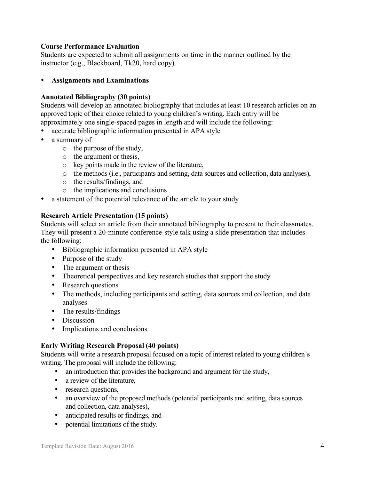## **Course Performance Evaluation**

Students are expected to submit all assignments on time in the manner outlined by the instructor (e.g., Blackboard, Tk20, hard copy).

## • **Assignments and Examinations**

## **Annotated Bibliography (30 points)**

Students will develop an annotated bibliography that includes at least 10 research articles on an approved topic of their choice related to young children's writing. Each entry will be approximately one single-spaced pages in length and will include the following:

- accurate bibliographic information presented in APA style
- a summary of
	- o the purpose of the study,
	- o the argument or thesis,
	- o key points made in the review of the literature,
	- o the methods (i.e., participants and setting, data sources and collection, data analyses),
	- o the results/findings, and
	- o the implications and conclusions
- a statement of the potential relevance of the article to your study

## **Research Article Presentation (15 points)**

Students will select an article from their annotated bibliography to present to their classmates. They will present a 20-minute conference-style talk using a slide presentation that includes the following:

- Bibliographic information presented in APA style
- Purpose of the study
- The argument or thesis
- Theoretical perspectives and key research studies that support the study
- Research questions
- The methods, including participants and setting, data sources and collection, and data analyses
- The results/findings
- **Discussion**
- Implications and conclusions

## **Early Writing Research Proposal (40 points)**

Students will write a research proposal focused on a topic of interest related to young children's writing. The proposal will include the following:

- an introduction that provides the background and argument for the study,
- a review of the literature,
- research questions,
- an overview of the proposed methods (potential participants and setting, data sources and collection, data analyses),
- anticipated results or findings, and
- potential limitations of the study.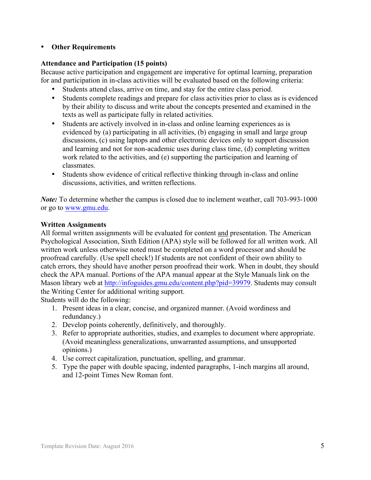### • **Other Requirements**

### **Attendance and Participation (15 points)**

Because active participation and engagement are imperative for optimal learning, preparation for and participation in in-class activities will be evaluated based on the following criteria:

- Students attend class, arrive on time, and stay for the entire class period.
- Students complete readings and prepare for class activities prior to class as is evidenced by their ability to discuss and write about the concepts presented and examined in the texts as well as participate fully in related activities.
- Students are actively involved in in-class and online learning experiences as is evidenced by (a) participating in all activities, (b) engaging in small and large group discussions, (c) using laptops and other electronic devices only to support discussion and learning and not for non-academic uses during class time, (d) completing written work related to the activities, and (e) supporting the participation and learning of classmates.
- Students show evidence of critical reflective thinking through in-class and online discussions, activities, and written reflections.

*Note:* To determine whether the campus is closed due to inclement weather, call 703-993-1000 or go to www.gmu.edu.

### **Written Assignments**

All formal written assignments will be evaluated for content and presentation. The American Psychological Association, Sixth Edition (APA) style will be followed for all written work. All written work unless otherwise noted must be completed on a word processor and should be proofread carefully. (Use spell check!) If students are not confident of their own ability to catch errors, they should have another person proofread their work. When in doubt, they should check the APA manual. Portions of the APA manual appear at the Style Manuals link on the Mason library web at http://infoguides.gmu.edu/content.php?pid=39979. Students may consult the Writing Center for additional writing support.

Students will do the following:

- 1. Present ideas in a clear, concise, and organized manner. (Avoid wordiness and redundancy.)
- 2. Develop points coherently, definitively, and thoroughly.
- 3. Refer to appropriate authorities, studies, and examples to document where appropriate. (Avoid meaningless generalizations, unwarranted assumptions, and unsupported opinions.)
- 4. Use correct capitalization, punctuation, spelling, and grammar.
- 5. Type the paper with double spacing, indented paragraphs, 1-inch margins all around, and 12-point Times New Roman font.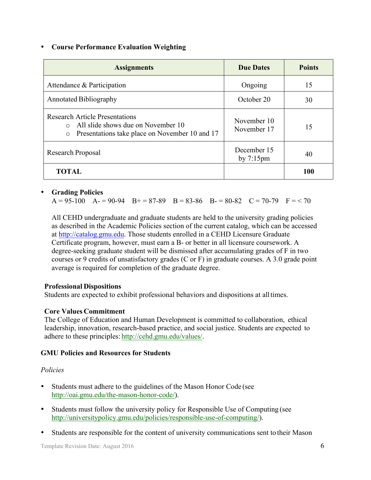### • **Course Performance Evaluation Weighting**

| <b>Assignments</b>                                                                                                                               | <b>Due Dates</b>                   | <b>Points</b> |
|--------------------------------------------------------------------------------------------------------------------------------------------------|------------------------------------|---------------|
| Attendance & Participation                                                                                                                       | Ongoing                            | 15            |
| <b>Annotated Bibliography</b>                                                                                                                    | October 20                         | 30            |
| <b>Research Article Presentations</b><br>All slide shows due on November 10<br>$\bigcirc$<br>Presentations take place on November 10 and 17<br>O | November 10<br>November 17         | 15            |
| Research Proposal                                                                                                                                | December 15<br>by $7:15 \text{pm}$ | 40            |
| <b>TOTAL</b>                                                                                                                                     |                                    | 100           |

#### • **Grading Policies**

 $A = 95-100$   $A = 90-94$   $B = 87-89$   $B = 83-86$   $B = 80-82$   $C = 70-79$   $F = 70$ 

All CEHD undergraduate and graduate students are held to the university grading policies as described in the Academic Policies section of the current catalog, which can be accessed at http://catalog.gmu.edu. Those students enrolled in a CEHD Licensure Graduate Certificate program, however, must earn a B- or better in all licensure coursework. A degree-seeking graduate student will be dismissed after accumulating grades of F in two courses or 9 credits of unsatisfactory grades (C or F) in graduate courses. A 3.0 grade point average is required for completion of the graduate degree.

#### **Professional Dispositions**

Students are expected to exhibit professional behaviors and dispositions at alltimes.

#### **Core Values Commitment**

The College of Education and Human Development is committed to collaboration, ethical leadership, innovation, research-based practice, and social justice. Students are expected to adhere to these principles: http://cehd.gmu.edu/values/.

#### **GMU Policies and Resources for Students**

#### *Policies*

- Students must adhere to the guidelines of the Mason Honor Code (see http://oai.gmu.edu/the-mason-honor-code/).
- Students must follow the university policy for Responsible Use of Computing (see http://universitypolicy.gmu.edu/policies/responsible-use-of-computing/).
- Students are responsible for the content of university communications sent to their Mason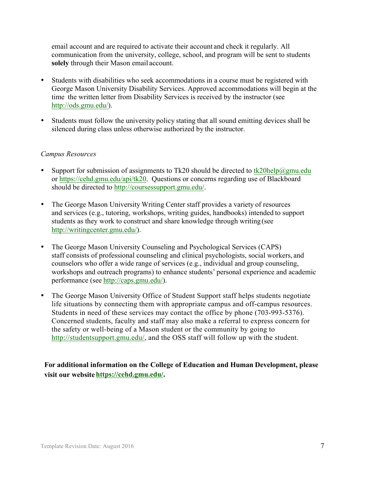email account and are required to activate their account and check it regularly. All communication from the university, college, school, and program will be sent to students **solely** through their Mason email account.

- Students with disabilities who seek accommodations in a course must be registered with George Mason University Disability Services. Approved accommodations will begin at the time the written letter from Disability Services is received by the instructor (see http://ods.gmu.edu/).
- Students must follow the university policy stating that all sound emitting devices shall be silenced during class unless otherwise authorized by the instructor.

#### *Campus Resources*

- Support for submission of assignments to Tk20 should be directed to  $tk20$ help $@g$ mu.edu or https://cehd.gmu.edu/api/tk20. Questions or concerns regarding use of Blackboard should be directed to http://coursessupport.gmu.edu/.
- The George Mason University Writing Center staff provides a variety of resources and services (e.g., tutoring, workshops, writing guides, handbooks) intended to support students as they work to construct and share knowledge through writing (see http://writingcenter.gmu.edu/).
- The George Mason University Counseling and Psychological Services (CAPS) staff consists of professional counseling and clinical psychologists, social workers, and counselors who offer a wide range of services (e.g., individual and group counseling, workshops and outreach programs) to enhance students' personal experience and academic performance (see http://caps.gmu.edu/).
- The George Mason University Office of Student Support staff helps students negotiate life situations by connecting them with appropriate campus and off-campus resources. Students in need of these services may contact the office by phone (703-993-5376). Concerned students, faculty and staff may also make a referral to express concern for the safety or well-being of a Mason student or the community by going to http://studentsupport.gmu.edu/, and the OSS staff will follow up with the student.

**For additional information on the College of Education and Human Development, please visit our website https://cehd.gmu.edu/.**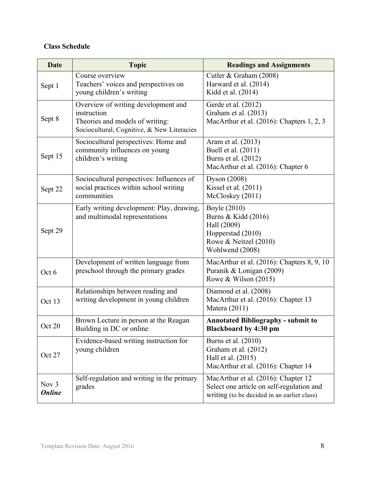## **Class Schedule**

| <b>Date</b>            | <b>Topic</b>                                                                                                                        | <b>Readings and Assignments</b>                                                                                                 |
|------------------------|-------------------------------------------------------------------------------------------------------------------------------------|---------------------------------------------------------------------------------------------------------------------------------|
| Sept 1                 | Course overview<br>Teachers' voices and perspectives on<br>young children's writing                                                 | Cutler & Graham (2008)<br>Harward et al. (2014)<br>Kidd et al. (2014)                                                           |
| Sept 8                 | Overview of writing development and<br>instruction<br>Theories and models of writing:<br>Sociocultural, Cognitive, & New Literacies | Gerde et al. (2012)<br>Graham et al. (2013)<br>MacArthur et al. (2016): Chapters 1, 2, 3                                        |
| Sept 15                | Sociocultural perspectives: Home and<br>community influences on young<br>children's writing                                         | Aram et al. (2013)<br>Buell et al. (2011)<br>Burns et al. (2012)<br>MacArthur et al. (2016): Chapter 6                          |
| Sept 22                | Sociocultural perspectives: Influences of<br>social practices within school writing<br>communities                                  | Dyson (2008)<br>Kissel et al. (2011)<br>McCloskey (2011)                                                                        |
| Sept 29                | Early writing development: Play, drawing,<br>and multimodal representations                                                         | Boyle (2010)<br>Burns & Kidd (2016)<br>Hall (2009)<br>Hopperstad (2010)<br>Rowe & Neitzel (2010)<br>Wohlwend (2008)             |
| Oct 6                  | Development of written language from<br>preschool through the primary grades                                                        | MacArthur et al. (2016): Chapters 8, 9, 10<br>Puranik & Lonigan (2009)<br>Rowe & Wilson (2015)                                  |
| Oct 13                 | Relationships between reading and<br>writing development in young children                                                          | Diamond et al. (2008)<br>MacArthur et al. (2016): Chapter 13<br>Matera (2011)                                                   |
| Oct 20                 | Brown Lecture in person at the Reagan<br>Building in DC or online                                                                   | <b>Annotated Bibliography - submit to</b><br><b>Blackboard by 4:30 pm</b>                                                       |
| Oct 27                 | Evidence-based writing instruction for<br>young children                                                                            | Burns et al. (2010)<br>Graham et al. (2012)<br>Hall et al. (2015)<br>MacArthur et al. (2016): Chapter 14                        |
| Nov 3<br><b>Online</b> | Self-regulation and writing in the primary<br>grades                                                                                | MacArthur et al. (2016): Chapter 12<br>Select one article on self-regulation and<br>writing (to be decided in an earlier class) |